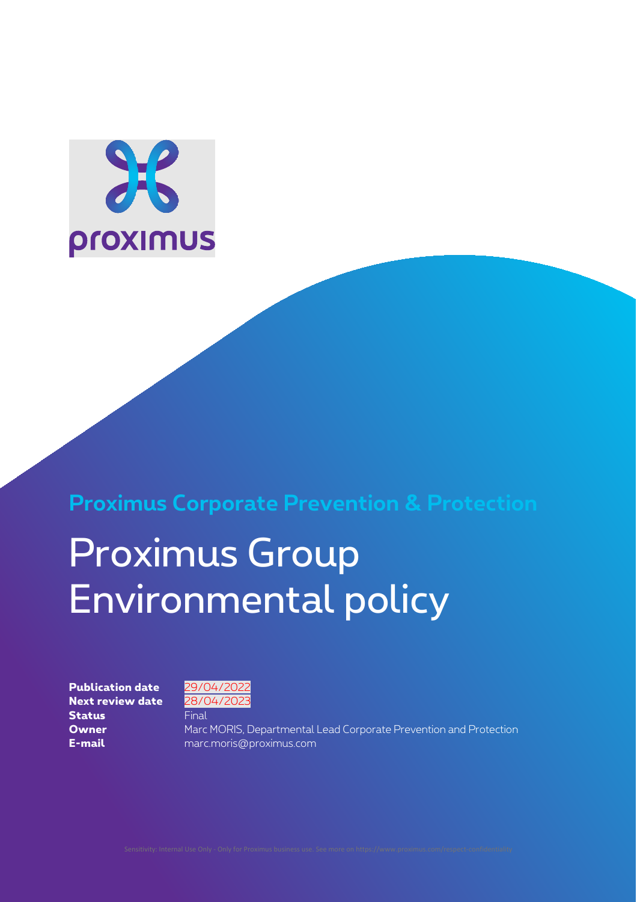

**Proximus Corporate Prevention & Protection**

# Proximus Group Environmental policy

**Next review date** 28/04/2023 **Status** Final



**Owner** Marc MORIS, Departmental Lead Corporate Prevention and Protection **E-mail** marc.moris@proximus.com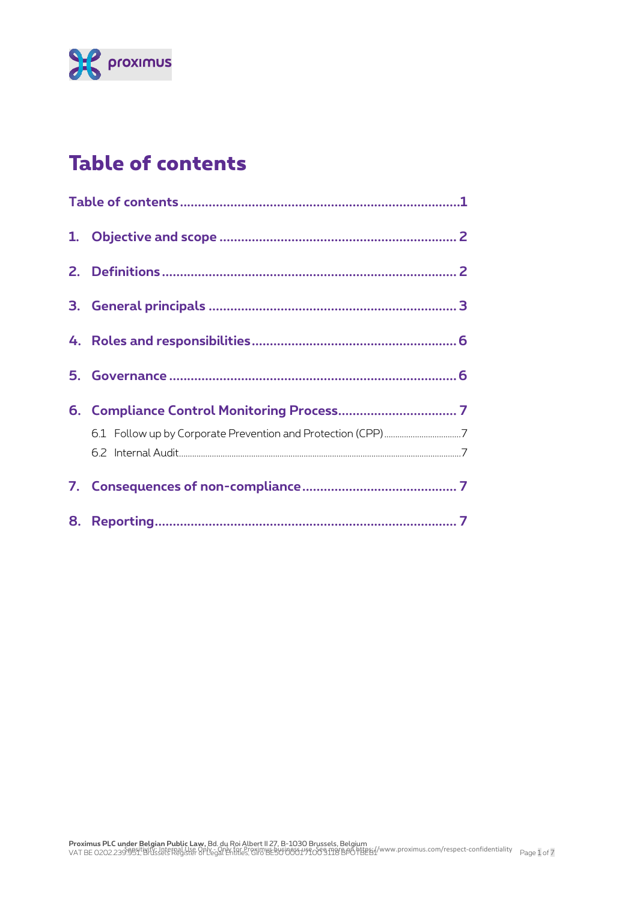

# **Table of contents**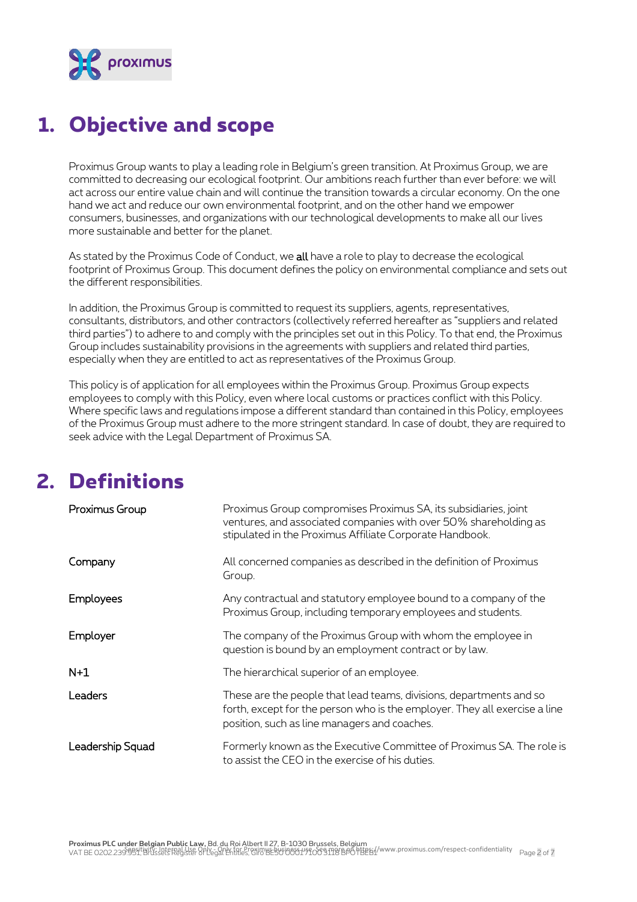

### **1. Objective and scope**

Proximus Group wants to play a leading role in Belgium's green transition. At Proximus Group, we are committed to decreasing our ecological footprint. Our ambitions reach further than ever before: we will act across our entire value chain and will continue the transition towards a circular economy. On the one hand we act and reduce our own environmental footprint, and on the other hand we empower consumers, businesses, and organizations with our technological developments to make all our lives more sustainable and better for the planet.

As stated by the Proximus Code of Conduct, we all have a role to play to decrease the ecological footprint of Proximus Group. This document defines the policy on environmental compliance and sets out the different responsibilities.

In addition, the Proximus Group is committed to request its suppliers, agents, representatives, consultants, distributors, and other contractors (collectively referred hereafter as "suppliers and related third parties") to adhere to and comply with the principles set out in this Policy. To that end, the Proximus Group includes sustainability provisions in the agreements with suppliers and related third parties, especially when they are entitled to act as representatives of the Proximus Group.

This policy is of application for all employees within the Proximus Group. Proximus Group expects employees to comply with this Policy, even where local customs or practices conflict with this Policy. Where specific laws and regulations impose a different standard than contained in this Policy, employees of the Proximus Group must adhere to the more stringent standard. In case of doubt, they are required to seek advice with the Legal Department of Proximus SA.

### **2. Definitions**

| Proximus Group   | Proximus Group compromises Proximus SA, its subsidiaries, joint<br>ventures, and associated companies with over 50% shareholding as<br>stipulated in the Proximus Affiliate Corporate Handbook.   |
|------------------|---------------------------------------------------------------------------------------------------------------------------------------------------------------------------------------------------|
| Company          | All concerned companies as described in the definition of Proximus<br>Group.                                                                                                                      |
| <b>Employees</b> | Any contractual and statutory employee bound to a company of the<br>Proximus Group, including temporary employees and students.                                                                   |
| Employer         | The company of the Proximus Group with whom the employee in<br>question is bound by an employment contract or by law.                                                                             |
| $N+1$            | The hierarchical superior of an employee.                                                                                                                                                         |
| Leaders          | These are the people that lead teams, divisions, departments and so<br>forth, except for the person who is the employer. They all exercise a line<br>position, such as line managers and coaches. |
| Leadership Squad | Formerly known as the Executive Committee of Proximus SA. The role is<br>to assist the CEO in the exercise of his duties.                                                                         |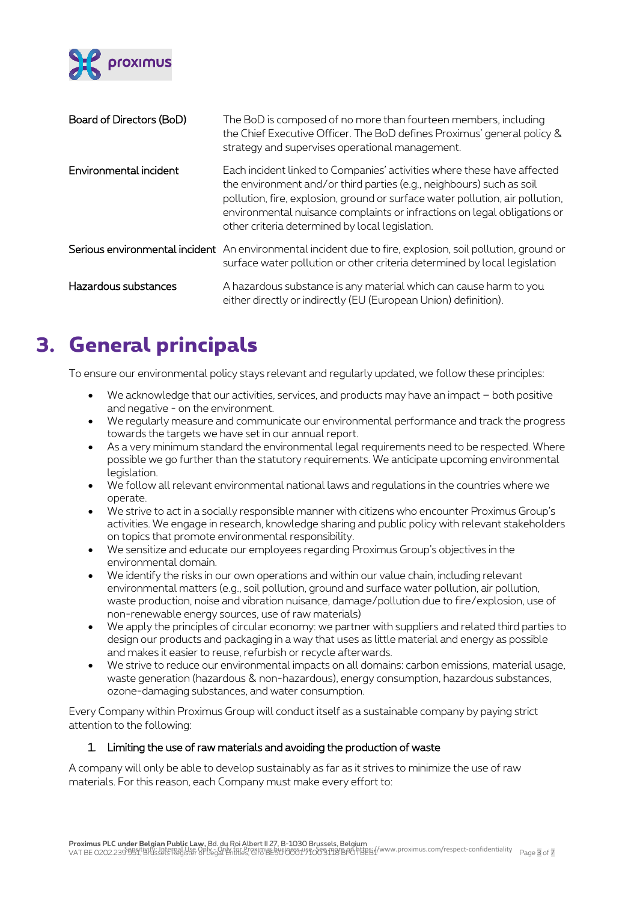

| Board of Directors (BoD) | The BoD is composed of no more than fourteen members, including<br>the Chief Executive Officer. The BoD defines Proximus' general policy &<br>strategy and supervises operational management.                                                                                                                                                                   |
|--------------------------|-----------------------------------------------------------------------------------------------------------------------------------------------------------------------------------------------------------------------------------------------------------------------------------------------------------------------------------------------------------------|
| Environmental incident   | Each incident linked to Companies' activities where these have affected<br>the environment and/or third parties (e.g., neighbours) such as soil<br>pollution, fire, explosion, ground or surface water pollution, air pollution,<br>environmental nuisance complaints or infractions on legal obligations or<br>other criteria determined by local legislation. |
|                          | Serious environmental incident An environmental incident due to fire, explosion, soil pollution, ground or<br>surface water pollution or other criteria determined by local legislation                                                                                                                                                                         |
| Hazardous substances     | A hazardous substance is any material which can cause harm to you<br>either directly or indirectly (EU (European Union) definition).                                                                                                                                                                                                                            |

### **3. General principals**

To ensure our environmental policy stays relevant and regularly updated, we follow these principles:

- We acknowledge that our activities, services, and products may have an impact both positive and negative - on the environment.
- We regularly measure and communicate our environmental performance and track the progress towards the targets we have set in our annual report.
- As a very minimum standard the environmental legal requirements need to be respected. Where possible we go further than the statutory requirements. We anticipate upcoming environmental legislation.
- We follow all relevant environmental national laws and regulations in the countries where we operate.
- We strive to act in a socially responsible manner with citizens who encounter Proximus Group's activities. We engage in research, knowledge sharing and public policy with relevant stakeholders on topics that promote environmental responsibility.
- We sensitize and educate our employees regarding Proximus Group's objectives in the environmental domain.
- We identify the risks in our own operations and within our value chain, including relevant environmental matters (e.g., soil pollution, ground and surface water pollution, air pollution, waste production, noise and vibration nuisance, damage/pollution due to fire/explosion, use of non-renewable energy sources, use of raw materials)
- We apply the principles of circular economy: we partner with suppliers and related third parties to design our products and packaging in a way that uses as little material and energy as possible and makes it easier to reuse, refurbish or recycle afterwards.
- We strive to reduce our environmental impacts on all domains: carbon emissions, material usage, waste generation (hazardous & non-hazardous), energy consumption, hazardous substances, ozone-damaging substances, and water consumption.

Every Company within Proximus Group will conduct itself as a sustainable company by paying strict attention to the following:

#### 1. Limiting the use of raw materials and avoiding the production of waste

A company will only be able to develop sustainably as far as it strives to minimize the use of raw materials. For this reason, each Company must make every effort to: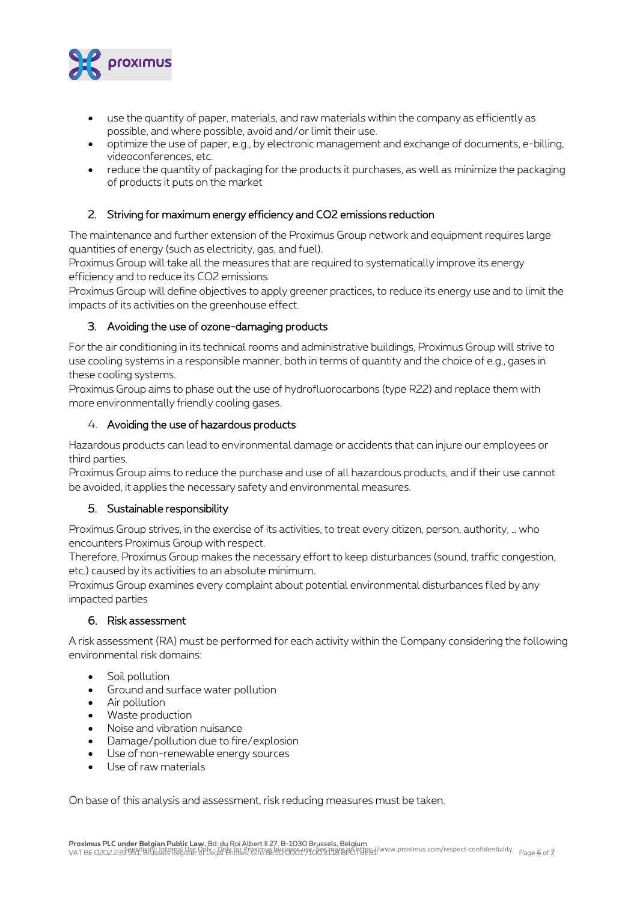

- use the quantity of paper, materials, and raw materials within the company as efficiently as possible, and where possible, avoid and/or limit their use.
- optimize the use of paper, e.g., by electronic management and exchange of documents, e-billing, videoconferences, etc.
- reduce the quantity of packaging for the products it purchases, as well as minimize the packaging of products it puts on the market

#### 2. Striving for maximum energy efficiency and CO2 emissions reduction

The maintenance and further extension of the Proximus Group network and equipment requires large quantities of energy (such as electricity, gas, and fuel).

Proximus Group will take all the measures that are required to systematically improve its energy efficiency and to reduce its CO2 emissions.

Proximus Group will define objectives to apply greener practices, to reduce its energy use and to limit the impacts of its activities on the greenhouse effect.

#### 3. Avoiding the use of ozone-damaging products

For the air conditioning in its technical rooms and administrative buildings, Proximus Group will strive to use cooling systems in a responsible manner, both in terms of quantity and the choice of e.g., gases in these cooling systems.

Proximus Group aims to phase out the use of hydrofluorocarbons (type R22) and replace them with more environmentally friendly cooling gases.

#### 4. Avoiding the use of hazardous products

Hazardous products can lead to environmental damage or accidents that can injure our employees or third parties.

Proximus Group aims to reduce the purchase and use of all hazardous products, and if their use cannot be avoided, it applies the necessary safety and environmental measures.

#### 5. Sustainable responsibility

Proximus Group strives, in the exercise of its activities, to treat every citizen, person, authority, … who encounters Proximus Group with respect.

Therefore, Proximus Group makes the necessary effort to keep disturbances (sound, traffic congestion, etc.) caused by its activities to an absolute minimum.

Proximus Group examines every complaint about potential environmental disturbances filed by any impacted parties

#### 6. Risk assessment

A risk assessment (RA) must be performed for each activity within the Company considering the following environmental risk domains:

- Soil pollution
- Ground and surface water pollution
- Air pollution
- Waste production
- Noise and vibration nuisance
- Damage/pollution due to fire/explosion
- Use of non-renewable energy sources
- Use of raw materials

On base of this analysis and assessment, risk reducing measures must be taken.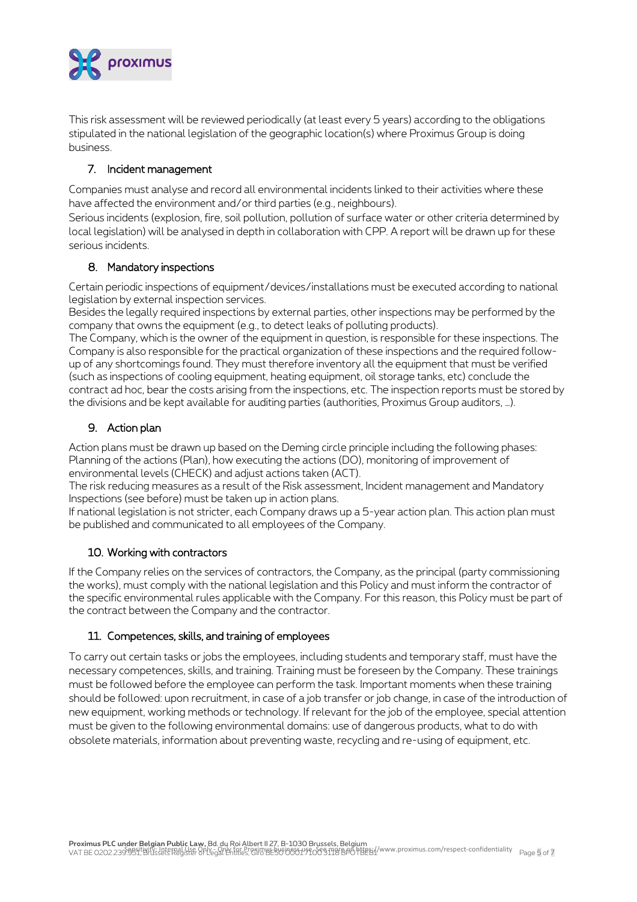

This risk assessment will be reviewed periodically (at least every 5 years) according to the obligations stipulated in the national legislation of the geographic location(s) where Proximus Group is doing business.

#### 7. Incident management

Companies must analyse and record all environmental incidents linked to their activities where these have affected the environment and/or third parties (e.g., neighbours).

Serious incidents (explosion, fire, soil pollution, pollution of surface water or other criteria determined by local legislation) will be analysed in depth in collaboration with CPP. A report will be drawn up for these serious incidents.

#### 8. Mandatory inspections

Certain periodic inspections of equipment/devices/installations must be executed according to national legislation by external inspection services.

Besides the legally required inspections by external parties, other inspections may be performed by the company that owns the equipment (e.g., to detect leaks of polluting products).

The Company, which is the owner of the equipment in question, is responsible for these inspections. The Company is also responsible for the practical organization of these inspections and the required followup of any shortcomings found. They must therefore inventory all the equipment that must be verified (such as inspections of cooling equipment, heating equipment, oil storage tanks, etc) conclude the contract ad hoc, bear the costs arising from the inspections, etc. The inspection reports must be stored by the divisions and be kept available for auditing parties (authorities, Proximus Group auditors, …).

#### 9. Action plan

Action plans must be drawn up based on the Deming circle principle including the following phases: Planning of the actions (Plan), how executing the actions (DO), monitoring of improvement of environmental levels (CHECK) and adjust actions taken (ACT).

The risk reducing measures as a result of the Risk assessment, Incident management and Mandatory Inspections (see before) must be taken up in action plans.

If national legislation is not stricter, each Company draws up a 5-year action plan. This action plan must be published and communicated to all employees of the Company.

#### 10. Working with contractors

If the Company relies on the services of contractors, the Company, as the principal (party commissioning the works), must comply with the national legislation and this Policy and must inform the contractor of the specific environmental rules applicable with the Company. For this reason, this Policy must be part of the contract between the Company and the contractor.

#### 11. Competences, skills, and training of employees

To carry out certain tasks or jobs the employees, including students and temporary staff, must have the necessary competences, skills, and training. Training must be foreseen by the Company. These trainings must be followed before the employee can perform the task. Important moments when these training should be followed: upon recruitment, in case of a job transfer or job change, in case of the introduction of new equipment, working methods or technology. If relevant for the job of the employee, special attention must be given to the following environmental domains: use of dangerous products, what to do with obsolete materials, information about preventing waste, recycling and re-using of equipment, etc.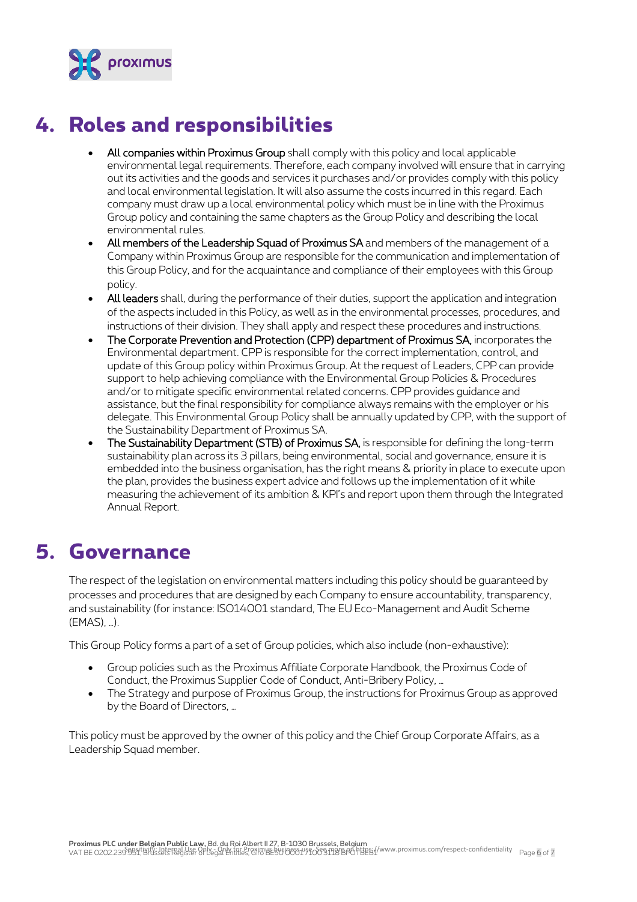

# **4. Roles and responsibilities**

- All companies within Proximus Group shall comply with this policy and local applicable environmental legal requirements. Therefore, each company involved will ensure that in carrying out its activities and the goods and services it purchases and/or provides comply with this policy and local environmental legislation. It will also assume the costs incurred in this regard. Each company must draw up a local environmental policy which must be in line with the Proximus Group policy and containing the same chapters as the Group Policy and describing the local environmental rules.
- All members of the Leadership Squad of Proximus SA and members of the management of a Company within Proximus Group are responsible for the communication and implementation of this Group Policy, and for the acquaintance and compliance of their employees with this Group policy.
- All leaders shall, during the performance of their duties, support the application and integration of the aspects included in this Policy, as well as in the environmental processes, procedures, and instructions of their division. They shall apply and respect these procedures and instructions.
- The Corporate Prevention and Protection (CPP) department of Proximus SA, incorporates the Environmental department. CPP is responsible for the correct implementation, control, and update of this Group policy within Proximus Group. At the request of Leaders, CPP can provide support to help achieving compliance with the Environmental Group Policies & Procedures and/or to mitigate specific environmental related concerns. CPP provides guidance and assistance, but the final responsibility for compliance always remains with the employer or his delegate. This Environmental Group Policy shall be annually updated by CPP, with the support of the Sustainability Department of Proximus SA.
- The Sustainability Department (STB) of Proximus SA, is responsible for defining the long-term sustainability plan across its 3 pillars, being environmental, social and governance, ensure it is embedded into the business organisation, has the right means & priority in place to execute upon the plan, provides the business expert advice and follows up the implementation of it while measuring the achievement of its ambition & KPI's and report upon them through the Integrated Annual Report.

### **5. Governance**

The respect of the legislation on environmental matters including this policy should be guaranteed by processes and procedures that are designed by each Company to ensure accountability, transparency, and sustainability (for instance: ISO14001 standard, The EU Eco-Management and Audit Scheme (EMAS), …).

This Group Policy forms a part of a set of Group policies, which also include (non-exhaustive):

- Group policies such as the Proximus Affiliate Corporate Handbook, the Proximus Code of Conduct, the Proximus Supplier Code of Conduct, Anti-Bribery Policy, …
- The Strategy and purpose of Proximus Group, the instructions for Proximus Group as approved by the Board of Directors, …

This policy must be approved by the owner of this policy and the Chief Group Corporate Affairs, as a Leadership Squad member.